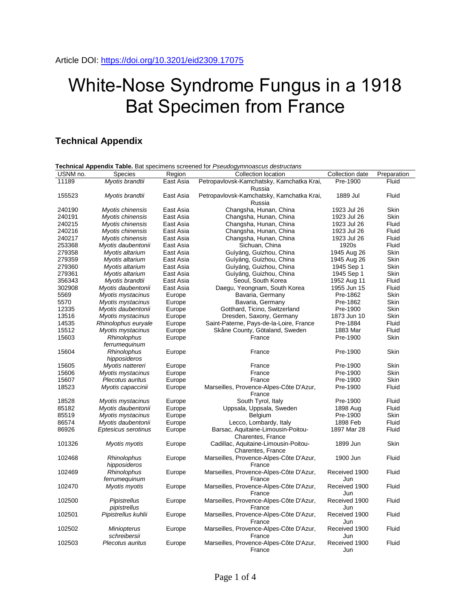## White-Nose Syndrome Fungus in a 1918 Bat Specimen from France

## **Technical Appendix**

| USNM no. | <b>Species</b>                     | Region    | Collection location                                       | Collection date      | Preparation |
|----------|------------------------------------|-----------|-----------------------------------------------------------|----------------------|-------------|
| 11189    | Myotis brandtii                    | East Asia | Petropavlovsk-Kamchatsky, Kamchatka Krai,<br>Russia       | Pre-1900             | Fluid       |
| 155523   | Myotis brandtii                    | East Asia | Petropavlovsk-Kamchatsky, Kamchatka Krai,<br>Russia       | 1889 Jul             | Fluid       |
| 240190   | Myotis chinensis                   | East Asia | Changsha, Hunan, China                                    | 1923 Jul 26          | Skin        |
| 240191   | Mvotis chinensis                   | East Asia | Changsha, Hunan, China                                    | 1923 Jul 26          | Skin        |
| 240215   | Myotis chinensis                   | East Asia | Changsha, Hunan, China                                    | 1923 Jul 26          | Fluid       |
| 240216   | Myotis chinensis                   | East Asia | Changsha, Hunan, China                                    | 1923 Jul 26          | Fluid       |
| 240217   | Myotis chinensis                   | East Asia | Changsha, Hunan, China                                    | 1923 Jul 26          | Fluid       |
| 253368   | Myotis daubentonii                 | East Asia | Sichuan, China                                            | 1920s                | Fluid       |
| 279358   | Myotis altarium                    | East Asia | Guìyáng, Guizhou, China                                   | 1945 Aug 26          | Skin        |
| 279359   | Myotis altarium                    | East Asia | Guìyáng, Guizhou, China                                   | 1945 Aug 26          | Skin        |
| 279360   | Myotis altarium                    | East Asia | Guìyáng, Guizhou, China                                   | 1945 Sep 1           | Skin        |
| 279361   | Myotis altarium                    | East Asia | Guìyáng, Guizhou, China                                   | 1945 Sep 1           | Skin        |
| 356343   | Myotis brandtii                    | East Asia | Seoul, South Korea                                        | 1952 Aug 11          | Fluid       |
| 302908   | Myotis daubentonii                 | East Asia | Daegu, Yeongnam, South Korea                              | 1955 Jun 15          | Fluid       |
| 5569     | Myotis mystacinus                  | Europe    | Bavaria, Germany                                          | Pre-1862             | Skin        |
| 5570     | Myotis mystacinus                  | Europe    | Bavaria, Germany                                          | Pre-1862             | Skin        |
| 12335    | Myotis daubentonii                 | Europe    | Gotthard, Ticino, Switzerland                             | Pre-1900             | Skin        |
| 13516    | Myotis mystacinus                  | Europe    | Dresden, Saxony, Germany                                  | 1873 Jun 10          | Skin        |
| 14535    | Rhinolophus euryale                | Europe    | Saint-Paterne, Pays-de-la-Loire, France                   | Pre-1884             | Fluid       |
| 15512    | Myotis mystacinus                  | Europe    | Skåne County, Götaland, Sweden                            | 1883 Mar             | Fluid       |
| 15603    | Rhinolophus<br>ferrumequinum       | Europe    | France                                                    | Pre-1900             | Skin        |
| 15604    | Rhinolophus<br>hipposideros        | Europe    | France                                                    | Pre-1900             | Skin        |
| 15605    | Myotis nattereri                   | Europe    | France                                                    | Pre-1900             | Skin        |
| 15606    | Myotis mystacinus                  | Europe    | France                                                    | Pre-1900             | <b>Skin</b> |
| 15607    | Plecotus auritus                   | Europe    | France                                                    | Pre-1900             | Skin        |
| 18523    | Myotis capaccinii                  | Europe    | Marseilles, Provence-Alpes-Côte D'Azur,<br>France         | Pre-1900             | Fluid       |
| 18528    | Myotis mystacinus                  | Europe    | South Tyrol, Italy                                        | Pre-1900             | Fluid       |
| 85182    | Myotis daubentonii                 | Europe    | Uppsala, Uppsala, Sweden                                  | 1898 Aug             | Fluid       |
| 85519    | Myotis mystacinus                  | Europe    | <b>Belgium</b>                                            | Pre-1900             | <b>Skin</b> |
| 86574    | Myotis daubentonii                 | Europe    | Lecco, Lombardy, Italy                                    | 1898 Feb             | Fluid       |
| 86926    | Eptesicus serotinus                | Europe    | Barsac, Aquitaine-Limousin-Poitou-<br>Charentes, France   | 1897 Mar 28          | Fluid       |
| 101326   | Myotis myotis                      | Europe    | Cadillac, Aquitaine-Limousin-Poitou-<br>Charentes, France | 1899 Jun             | Skin        |
| 102468   | Rhinolophus<br>hipposideros        | Europe    | Marseilles, Provence-Alpes-Côte D'Azur,<br>France         | 1900 Jun             | Fluid       |
| 102469   | Rhinolophus<br>ferrumequinum       | Europe    | Marseilles, Provence-Alpes-Côte D'Azur,<br>France         | Received 1900<br>Jun | Fluid       |
| 102470   | Myotis myotis                      | Europe    | Marseilles, Provence-Alpes-Côte D'Azur,<br>France         | Received 1900<br>Jun | Fluid       |
| 102500   | Pipistrellus<br>pipistrellus       | Europe    | Marseilles, Provence-Alpes-Côte D'Azur,<br>France         | Received 1900<br>Jun | Fluid       |
| 102501   | Pipistrellus kuhlii                | Europe    | Marseilles, Provence-Alpes-Côte D'Azur,<br>France         | Received 1900<br>Jun | Fluid       |
| 102502   | <b>Miniopterus</b><br>schreibersii | Europe    | Marseilles, Provence-Alpes-Côte D'Azur,<br>France         | Received 1900<br>Jun | Fluid       |
| 102503   | Plecotus auritus                   | Europe    | Marseilles, Provence-Alpes-Côte D'Azur,                   | Received 1900        | Fluid       |

France

Jun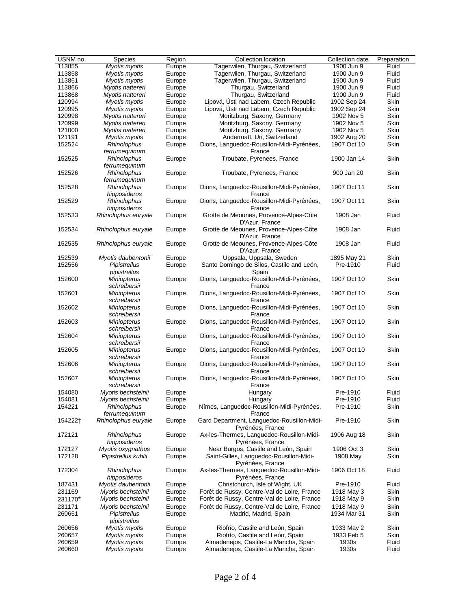| USNM no. | Species             | Region | Collection location                         | Collection date | Preparation |
|----------|---------------------|--------|---------------------------------------------|-----------------|-------------|
| 113855   | Myotis myotis       | Europe | Tagerwilen, Thurgau, Switzerland            | 1900 Jun 9      | Fluid       |
| 113858   | Myotis myotis       | Europe | Tagerwilen, Thurgau, Switzerland            | 1900 Jun 9      | Fluid       |
| 113861   | Myotis myotis       | Europe | Tagerwilen, Thurgau, Switzerland            | 1900 Jun 9      | Fluid       |
| 113866   | Myotis nattereri    | Europe | Thurgau, Switzerland                        | 1900 Jun 9      | Fluid       |
| 113868   | Myotis nattereri    | Europe | Thurgau, Switzerland                        | 1900 Jun 9      | Fluid       |
| 120994   | Myotis myotis       | Europe | Lipová, Ústi nad Labem, Czech Republic      | 1902 Sep 24     | Skin        |
| 120995   | Myotis myotis       | Europe | Lipová, Ústi nad Labem, Czech Republic      | 1902 Sep 24     | Skin        |
| 120998   | Myotis nattereri    | Europe | Moritzburg, Saxony, Germany                 | 1902 Nov 5      | Skin        |
| 120999   | Myotis nattereri    | Europe | Moritzburg, Saxony, Germany                 | 1902 Nov 5      | Skin        |
| 121000   | Myotis nattereri    | Europe | Moritzburg, Saxony, Germany                 | 1902 Nov 5      | Skin        |
| 121191   | Myotis myotis       | Europe | Andermatt, Uri, Switzerland                 | 1902 Aug 20     | Skin        |
| 152524   | Rhinolophus         | Europe | Dions, Languedoc-Rousillon-Midi-Pyrénées,   | 1907 Oct 10     | Skin        |
|          | ferrumequinum       |        | France                                      |                 |             |
| 152525   | <b>Rhinolophus</b>  | Europe | Troubate, Pyrenees, France                  | 1900 Jan 14     | Skin        |
|          | ferrumequinum       |        |                                             |                 |             |
| 152526   | Rhinolophus         | Europe | Troubate, Pyrenees, France                  | 900 Jan 20      | Skin        |
|          | ferrumequinum       |        |                                             |                 |             |
| 152528   | Rhinolophus         | Europe | Dions, Languedoc-Rousillon-Midi-Pyrénées,   | 1907 Oct 11     | Skin        |
|          | hipposideros        |        | France                                      |                 |             |
| 152529   | Rhinolophus         | Europe | Dions, Languedoc-Rousillon-Midi-Pyrénées,   | 1907 Oct 11     | Skin        |
|          | hipposideros        |        | France                                      |                 |             |
|          |                     |        | Grotte de Meounes, Provence-Alpes-Côte      |                 |             |
| 152533   | Rhinolophus euryale | Europe |                                             | 1908 Jan        | Fluid       |
|          |                     |        | D'Azur, France                              |                 |             |
| 152534   | Rhinolophus euryale | Europe | Grotte de Meounes, Provence-Alpes-Côte      | 1908 Jan        | Fluid       |
|          |                     |        | D'Azur, France                              |                 |             |
| 152535   | Rhinolophus euryale | Europe | Grotte de Meounes, Provence-Alpes-Côte      | 1908 Jan        | Fluid       |
|          |                     |        | D'Azur, France                              |                 |             |
| 152539   | Myotis daubentonii  | Europe | Uppsala, Uppsala, Sweden                    | 1895 May 21     | Skin        |
| 152556   | Pipistrellus        | Europe | Santo Domingo de Silos, Castile and León,   | Pre-1910        | Fluid       |
|          | pipistrellus        |        | Spain                                       |                 |             |
| 152600   | <b>Miniopterus</b>  | Europe | Dions, Languedoc-Rousillon-Midi-Pyrénées,   | 1907 Oct 10     | Skin        |
|          | schreibersii        |        | France                                      |                 |             |
| 152601   | <b>Miniopterus</b>  | Europe | Dions, Languedoc-Rousillon-Midi-Pyrénées,   | 1907 Oct 10     | Skin        |
|          | schreibersii        |        | France                                      |                 |             |
| 152602   | <b>Miniopterus</b>  | Europe | Dions, Languedoc-Rousillon-Midi-Pyrénées,   | 1907 Oct 10     | Skin        |
|          | schreibersii        |        | France                                      |                 |             |
| 152603   | <b>Miniopterus</b>  | Europe | Dions, Languedoc-Rousillon-Midi-Pyrénées,   | 1907 Oct 10     | Skin        |
|          | schreibersii        |        | France                                      |                 |             |
| 152604   | <b>Miniopterus</b>  | Europe | Dions, Languedoc-Rousillon-Midi-Pyrénées,   | 1907 Oct 10     | Skin        |
|          | schreibersii        |        | France                                      |                 |             |
| 152605   | <b>Miniopterus</b>  | Europe | Dions, Languedoc-Rousillon-Midi-Pyrénées,   | 1907 Oct 10     | Skin        |
|          | schreibersii        |        | France                                      |                 |             |
| 152606   | Miniopterus         | Europe | Dions, Languedoc-Rousillon-Midi-Pyrénées,   | 1907 Oct 10     | Skin        |
|          | schreibersii        |        | France                                      |                 |             |
| 152607   | <b>Miniopterus</b>  | Europe | Dions, Languedoc-Rousillon-Midi-Pyrénées,   | 1907 Oct 10     | Skin        |
|          | schreibersii        |        | France                                      |                 |             |
| 154080   | Myotis bechsteinii  | Europe | Hungary                                     | Pre-1910        | Fluid       |
| 154081   | Myotis bechsteinii  | Europe | Hungary                                     | Pre-1910        | Fluid       |
| 154221   | Rhinolophus         | Europe | Nîmes, Languedoc-Rousillon-Midi-Pyrénées,   | Pre-1910        | Skin        |
|          | ferrumequinum       |        | France                                      |                 |             |
| 154222†  | Rhinolophus euryale | Europe | Gard Department, Languedoc-Rousillon-Midi-  | Pre-1910        | Skin        |
|          |                     |        | Pyrénées, France                            |                 |             |
| 172121   | Rhinolophus         | Europe | Ax-les-Thermes, Languedoc-Rousillon-Midi-   | 1906 Aug 18     | Skin        |
|          | hipposideros        |        | Pyrénées, France                            |                 |             |
|          |                     |        | Near Burgos, Castile and León, Spain        |                 | Skin        |
| 172127   | Myotis oxygnathus   | Europe |                                             | 1906 Oct 3      |             |
| 172128   | Pipistrellus kuhlii | Europe | Saint-Gilles, Languedoc-Rousillon-Midi-     | 1908 May        | Skin        |
|          |                     |        | Pyrénées, France                            |                 |             |
| 172304   | Rhinolophus         | Europe | Ax-les-Thermes, Languedoc-Rousillon-Midi-   | 1906 Oct 18     | Fluid       |
|          | hipposideros        |        | Pyrénées, France                            |                 |             |
| 187431   | Myotis daubentonii  | Europe | Christchurch, Isle of Wight, UK             | Pre-1910        | Fluid       |
| 231169   | Myotis bechsteinii  | Europe | Forêt de Russy, Centre-Val de Loire, France | 1918 May 3      | Skin        |
| 231170*  | Myotis bechsteinii  | Europe | Forêt de Russy, Centre-Val de Loire, France | 1918 May 9      | Skin        |
| 231171   | Myotis bechsteinii  | Europe | Forêt de Russy, Centre-Val de Loire, France | 1918 May 9      | Skin        |
| 260651   | Pipistrellus        | Europe | Madrid, Madrid, Spain                       | 1934 Mar 31     | Skin        |
|          | pipistrellus        |        |                                             |                 |             |
| 260656   | Myotis myotis       | Europe | Riofrío, Castile and León, Spain            | 1933 May 2      | Skin        |
| 260657   | Myotis myotis       | Europe | Riofrío, Castile and León, Spain            | 1933 Feb 5      | Skin        |
| 260659   | Myotis myotis       | Europe | Almadenejos, Castile-La Mancha, Spain       | 1930s           | Fluid       |
| 260660   | Myotis myotis       | Europe | Almadenejos, Castile-La Mancha, Spain       | 1930s           | Fluid       |
|          |                     |        |                                             |                 |             |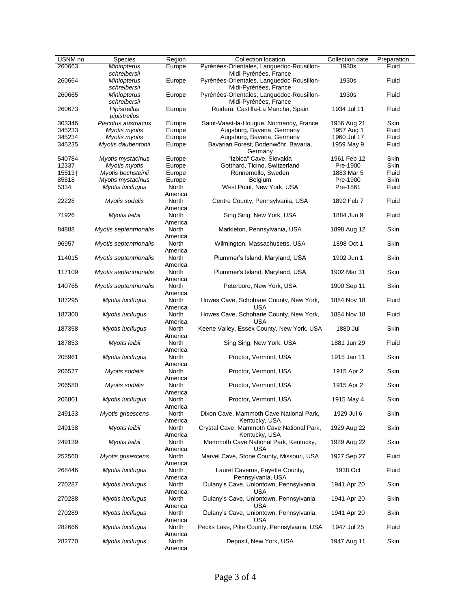| USNM no. | Species                     | Region           | Collection location                                                | Collection date | Preparation |
|----------|-----------------------------|------------------|--------------------------------------------------------------------|-----------------|-------------|
| 260663   | <b>Miniopterus</b>          | Europe           | Pyrénées-Orientales, Languedoc-Rousillon-                          | 1930s           | Fluid       |
|          | schreibersii                |                  | Midi-Pyrénées, France                                              |                 |             |
| 260664   | <b>Miniopterus</b>          | Europe           | Pyrénées-Orientales, Languedoc-Rousillon-                          | 1930s           | Fluid       |
| 260665   | schreibersii<br>Miniopterus | Europe           | Midi-Pyrénées, France<br>Pyrénées-Orientales, Languedoc-Rousillon- | 1930s           | Fluid       |
|          | schreibersii                |                  | Midi-Pyrénées, France                                              |                 |             |
| 260673   | <b>Pipistrellus</b>         | Europe           | Ruidera, Castilla-La Mancha, Spain                                 | 1934 Jul 11     | Fluid       |
|          | pipistrellus                |                  |                                                                    |                 |             |
| 303346   | Plecotus austriacus         | Europe           | Saint-Vaast-la-Hougue, Normandy, France                            | 1956 Aug 21     | Skin        |
| 345233   | Myotis myotis               | Europe           | Augsburg, Bavaria, Germany                                         | 1957 Aug 1      | Fluid       |
| 345234   | Myotis myotis               | Europe           | Augsburg, Bavaria, Germany                                         | 1960 Jul 17     | Fluid       |
| 345235   | Myotis daubentonii          | Europe           | Bavarian Forest, Bodenwöhr, Bavaria,<br>Germany                    | 1959 May 9      | Fluid       |
| 540784   | Myotis mystacinus           | Europe           | "Izbica" Cave, Slovakia                                            | 1961 Feb 12     | Skin        |
| 12337    | Myotis myotis               | Europe           | Gotthard, Ticino, Switzerland                                      | Pre-1900        | Skin        |
| 15513+   | Myotis bechsteinii          | Europe           | Ronnemollo, Sweden                                                 | 1883 Mar 5      | Fluid       |
| 85518    | Myotis mystacinus           | Europe           | Belgium                                                            | Pre-1900        | Skin        |
| 5334     | Myotis lucifugus            | North            | West Point, New York, USA                                          | Pre-1861        | Fluid       |
|          |                             | America          |                                                                    |                 |             |
| 22228    | Myotis sodalis              | North            | Centre County, Pennsylvania, USA                                   | 1892 Feb 7      | Fluid       |
| 71926    |                             | America          |                                                                    | 1884 Jun 9      | Fluid       |
|          | Myotis leibii               | North<br>America | Sing Sing, New York, USA                                           |                 |             |
| 84888    | Myotis septentrionalis      | North            | Markleton, Pennsylvania, USA                                       | 1898 Aug 12     | Skin        |
|          |                             | America          |                                                                    |                 |             |
| 96957    | Myotis septentrionalis      | North            | Wilmington, Massachusetts, USA                                     | 1898 Oct 1      | Skin        |
|          |                             | America          |                                                                    |                 |             |
| 114015   | Myotis septentrionalis      | <b>North</b>     | Plummer's Island, Maryland, USA                                    | 1902 Jun 1      | Skin        |
|          |                             | America          |                                                                    |                 |             |
| 117109   | Myotis septentrionalis      | North            | Plummer's Island, Maryland, USA                                    | 1902 Mar 31     | Skin        |
|          |                             | America          |                                                                    |                 |             |
| 140765   | Myotis septentrionalis      | North            | Peterboro, New York, USA                                           | 1900 Sep 11     | Skin        |
|          |                             | America          |                                                                    |                 |             |
| 187295   | Myotis lucifugus            | North            | Howes Cave, Schoharie County, New York,                            | 1884 Nov 18     | Fluid       |
|          |                             | America          | USA                                                                |                 |             |
| 187300   | Myotis lucifugus            | North            | Howes Cave, Schoharie County, New York,                            | 1884 Nov 18     | Fluid       |
|          |                             | America          | <b>USA</b>                                                         |                 |             |
| 187358   | Myotis lucifugus            | North            | Keene Valley, Essex County, New York, USA                          | 1880 Jul        | Skin        |
|          |                             | America          |                                                                    |                 |             |
| 187853   | Myotis leibii               | North            | Sing Sing, New York, USA                                           | 1881 Jun 29     | Fluid       |
|          |                             | America          |                                                                    |                 |             |
| 205961   | Myotis lucifugus            | North            | Proctor, Vermont, USA                                              | 1915 Jan 11     | Skin        |
|          |                             | America          |                                                                    |                 |             |
| 206577   | Myotis sodalis              | North            | Proctor, Vermont, USA                                              | 1915 Apr 2      | Skin        |
| 206580   | Myotis sodalis              | America<br>North |                                                                    |                 | Skin        |
|          |                             | America          | Proctor, Vermont, USA                                              | 1915 Apr 2      |             |
| 206801   | Myotis lucifugus            | North            | Proctor, Vermont, USA                                              | 1915 May 4      | Skin        |
|          |                             | America          |                                                                    |                 |             |
| 249133   | Myotis grisescens           | North            | Dixon Cave, Mammoth Cave National Park,                            | 1929 Jul 6      | Skin        |
|          |                             | America          | Kentucky, USA                                                      |                 |             |
| 249138   | Myotis leibii               | North            | Crystal Cave, Mammoth Cave National Park,                          | 1929 Aug 22     | Skin        |
|          |                             | America          | Kentucky, USA                                                      |                 |             |
| 249139   | Myotis leibii               | North            | Mammoth Cave National Park, Kentucky,                              | 1929 Aug 22     | Skin        |
|          |                             | America          | USA                                                                |                 |             |
| 252560   | Myotis grisescens           | North            | Marvel Cave, Stone County, Missouri, USA                           | 1927 Sep 27     | Fluid       |
|          |                             | America          |                                                                    |                 |             |
| 268446   | Myotis lucifugus            | North            | Laurel Caverns, Fayette County,                                    | 1938 Oct        | Fluid       |
|          |                             | America          | Pennsylvania, USA                                                  |                 |             |
| 270287   | Myotis lucifugus            | North            | Dulany's Cave, Uniontown, Pennsylvania,                            | 1941 Apr 20     | Skin        |
|          |                             | America          | USA                                                                |                 |             |
| 270288   | Myotis lucifugus            | North            | Dulany's Cave, Uniontown, Pennsylvania,                            | 1941 Apr 20     | Skin        |
|          |                             | America          | USA                                                                |                 |             |
| 270289   | Myotis lucifugus            | North            | Dulany's Cave, Uniontown, Pennsylvania,                            | 1941 Apr 20     | Skin        |
| 282666   | Myotis lucifugus            | America<br>North | USA<br>Pecks Lake, Pike County, Pennsylvania, USA                  | 1947 Jul 25     | Fluid       |
|          |                             | America          |                                                                    |                 |             |
| 282770   | Myotis lucifugus            | North            | Deposit, New York, USA                                             | 1947 Aug 11     | Skin        |
|          |                             | America          |                                                                    |                 |             |